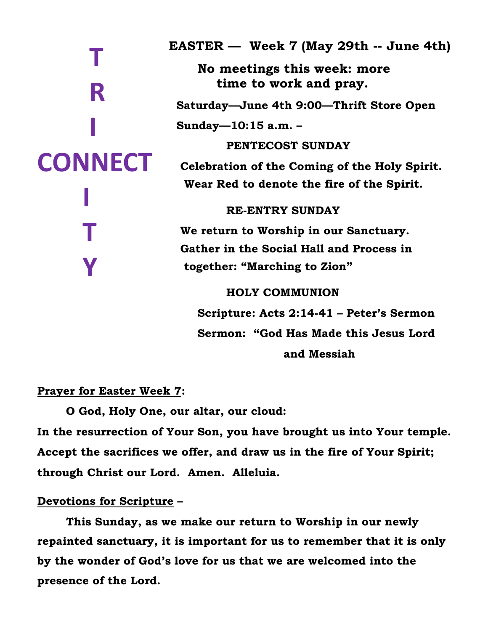## **T R I CONNECT I T Y**

**EASTER — Week 7 (May 29th -- June 4th) No meetings this week: more time to work and pray. Saturday—June 4th 9:00—Thrift Store Open Sunday—10:15 a.m. – PENTECOST SUNDAY Celebration of the Coming of the Holy Spirit. Wear Red to denote the fire of the Spirit. RE-ENTRY SUNDAY**

 **We return to Worship in our Sanctuary. Gather in the Social Hall and Process in together: "Marching to Zion"**

**HOLY COMMUNION**

**Scripture: Acts 2:14-41 – Peter's Sermon Sermon: "God Has Made this Jesus Lord and Messiah**

## **Prayer for Easter Week 7:**

**O God, Holy One, our altar, our cloud:**

**In the resurrection of Your Son, you have brought us into Your temple. Accept the sacrifices we offer, and draw us in the fire of Your Spirit; through Christ our Lord. Amen. Alleluia.**

## **Devotions for Scripture –**

**This Sunday, as we make our return to Worship in our newly repainted sanctuary, it is important for us to remember that it is only by the wonder of God's love for us that we are welcomed into the presence of the Lord.**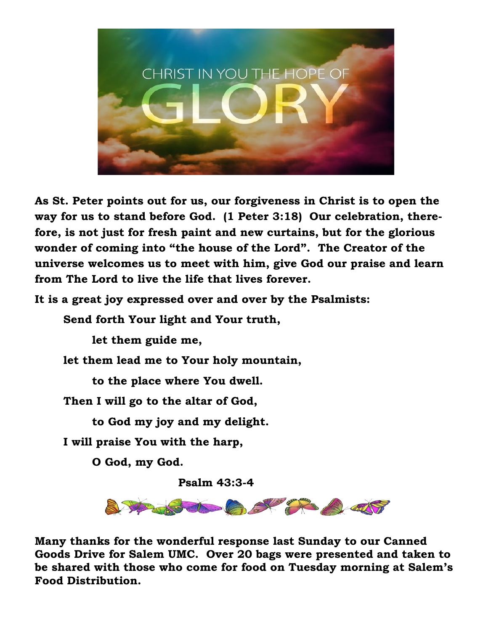

**As St. Peter points out for us, our forgiveness in Christ is to open the way for us to stand before God. (1 Peter 3:18) Our celebration, therefore, is not just for fresh paint and new curtains, but for the glorious wonder of coming into "the house of the Lord". The Creator of the universe welcomes us to meet with him, give God our praise and learn from The Lord to live the life that lives forever.**

**It is a great joy expressed over and over by the Psalmists:**

**Send forth Your light and Your truth,**

**let them guide me,**

**let them lead me to Your holy mountain,**

**to the place where You dwell.**

**Then I will go to the altar of God,**

**to God my joy and my delight.**

**I will praise You with the harp,**

**O God, my God.**

**Psalm 43:3-4**



**Many thanks for the wonderful response last Sunday to our Canned Goods Drive for Salem UMC. Over 20 bags were presented and taken to be shared with those who come for food on Tuesday morning at Salem's Food Distribution.**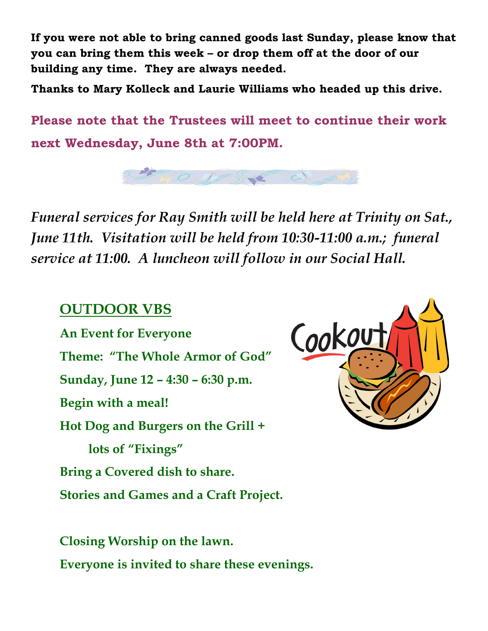**If you were not able to bring canned goods last Sunday, please know that you can bring them this week – or drop them off at the door of our building any time. They are always needed.**

**Thanks to Mary Kolleck and Laurie Williams who headed up this drive.**

**Please note that the Trustees will meet to continue their work next Wednesday, June 8th at 7:00PM.**



*Funeral services for Ray Smith will be held here at Trinity on Sat., June 11th. Visitation will be held from 10:30-11:00 a.m.; funeral service at 11:00. A luncheon will follow in our Social Hall.*

## **OUTDOOR VBS**

**An Event for Everyone Theme: "The Whole Armor of God" Sunday, June 12 – 4:30 – 6:30 p.m. Begin with a meal! Hot Dog and Burgers on the Grill + lots of "Fixings" Bring a Covered dish to share. Stories and Games and a Craft Project.**

**Closing Worship on the lawn. Everyone is invited to share these evenings.**

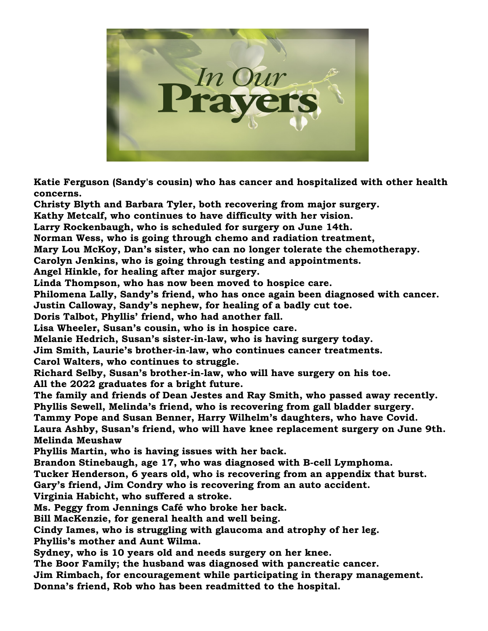

**Katie Ferguson (Sandy's cousin) who has cancer and hospitalized with other health concerns.**

**Christy Blyth and Barbara Tyler, both recovering from major surgery.**

**Kathy Metcalf, who continues to have difficulty with her vision.**

**Larry Rockenbaugh, who is scheduled for surgery on June 14th.**

**Norman Wess, who is going through chemo and radiation treatment,**

**Mary Lou McKoy, Dan's sister, who can no longer tolerate the chemotherapy.**

**Carolyn Jenkins, who is going through testing and appointments.**

**Angel Hinkle, for healing after major surgery.**

**Linda Thompson, who has now been moved to hospice care.**

**Philomena Lally, Sandy's friend, who has once again been diagnosed with cancer.**

**Justin Calloway, Sandy's nephew, for healing of a badly cut toe.**

**Doris Talbot, Phyllis' friend, who had another fall.**

**Lisa Wheeler, Susan's cousin, who is in hospice care.**

**Melanie Hedrich, Susan's sister-in-law, who is having surgery today.**

**Jim Smith, Laurie's brother-in-law, who continues cancer treatments.**

**Carol Walters, who continues to struggle.**

**Richard Selby, Susan's brother-in-law, who will have surgery on his toe. All the 2022 graduates for a bright future.**

**The family and friends of Dean Jestes and Ray Smith, who passed away recently.**

**Phyllis Sewell, Melinda's friend, who is recovering from gall bladder surgery.**

**Tammy Pope and Susan Benner, Harry Wilhelm's daughters, who have Covid.**

**Laura Ashby, Susan's friend, who will have knee replacement surgery on June 9th. Melinda Meushaw**

**Phyllis Martin, who is having issues with her back.**

**Brandon Stinebaugh, age 17, who was diagnosed with B-cell Lymphoma.**

**Tucker Henderson, 6 years old, who is recovering from an appendix that burst.**

**Gary's friend, Jim Condry who is recovering from an auto accident.**

**Virginia Habicht, who suffered a stroke.**

**Ms. Peggy from Jennings Café who broke her back.**

**Bill MacKenzie, for general health and well being.**

**Cindy Iames, who is struggling with glaucoma and atrophy of her leg.**

**Phyllis's mother and Aunt Wilma.**

**Sydney, who is 10 years old and needs surgery on her knee.**

**The Boor Family; the husband was diagnosed with pancreatic cancer.** 

**Jim Rimbach, for encouragement while participating in therapy management.** 

**Donna's friend, Rob who has been readmitted to the hospital.**